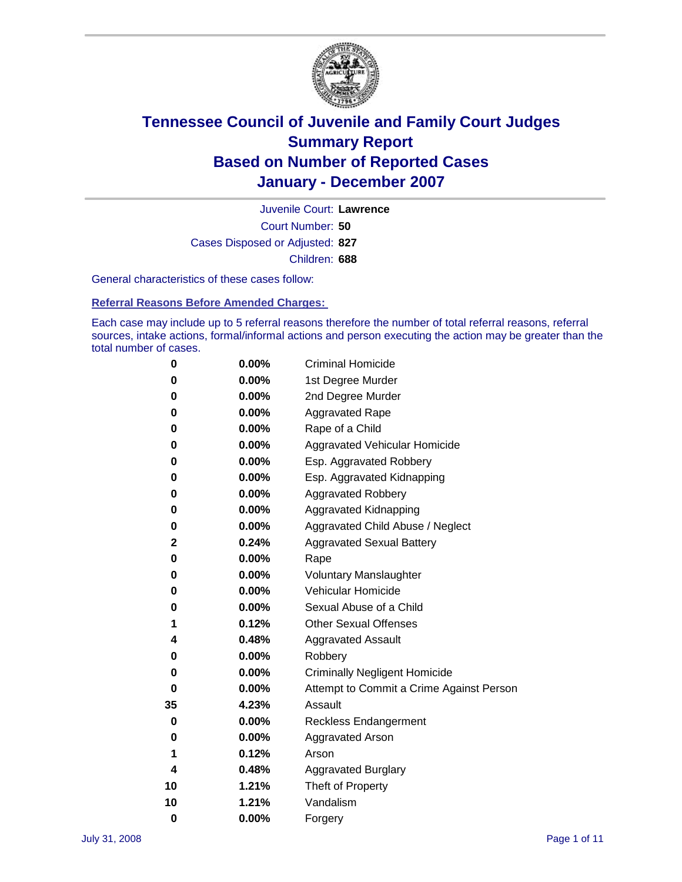

Court Number: **50** Juvenile Court: **Lawrence** Cases Disposed or Adjusted: **827** Children: **688**

General characteristics of these cases follow:

**Referral Reasons Before Amended Charges:** 

Each case may include up to 5 referral reasons therefore the number of total referral reasons, referral sources, intake actions, formal/informal actions and person executing the action may be greater than the total number of cases.

| 0        | 0.00%    | <b>Criminal Homicide</b>                 |  |  |
|----------|----------|------------------------------------------|--|--|
| 0        | 0.00%    | 1st Degree Murder                        |  |  |
| 0        | $0.00\%$ | 2nd Degree Murder                        |  |  |
| 0        | 0.00%    | <b>Aggravated Rape</b>                   |  |  |
| 0        | 0.00%    | Rape of a Child                          |  |  |
| 0        | 0.00%    | Aggravated Vehicular Homicide            |  |  |
| 0        | 0.00%    | Esp. Aggravated Robbery                  |  |  |
| 0        | 0.00%    | Esp. Aggravated Kidnapping               |  |  |
| 0        | 0.00%    | <b>Aggravated Robbery</b>                |  |  |
| 0        | 0.00%    | Aggravated Kidnapping                    |  |  |
| 0        | 0.00%    | Aggravated Child Abuse / Neglect         |  |  |
| 2        | 0.24%    | <b>Aggravated Sexual Battery</b>         |  |  |
| 0        | 0.00%    | Rape                                     |  |  |
| 0        | 0.00%    | <b>Voluntary Manslaughter</b>            |  |  |
| 0        | 0.00%    | Vehicular Homicide                       |  |  |
| 0        | 0.00%    | Sexual Abuse of a Child                  |  |  |
| 1        | 0.12%    | <b>Other Sexual Offenses</b>             |  |  |
| 4        | 0.48%    | <b>Aggravated Assault</b>                |  |  |
| 0        | $0.00\%$ | Robbery                                  |  |  |
| 0        | 0.00%    | <b>Criminally Negligent Homicide</b>     |  |  |
| 0        | $0.00\%$ | Attempt to Commit a Crime Against Person |  |  |
| 35       | 4.23%    | Assault                                  |  |  |
| 0        | 0.00%    | <b>Reckless Endangerment</b>             |  |  |
| 0        | 0.00%    | <b>Aggravated Arson</b>                  |  |  |
| 1        | 0.12%    | Arson                                    |  |  |
| 4        | 0.48%    | <b>Aggravated Burglary</b>               |  |  |
| 10       | 1.21%    | Theft of Property                        |  |  |
| 10       | 1.21%    | Vandalism                                |  |  |
| $\bf{0}$ | 0.00%    | Forgery                                  |  |  |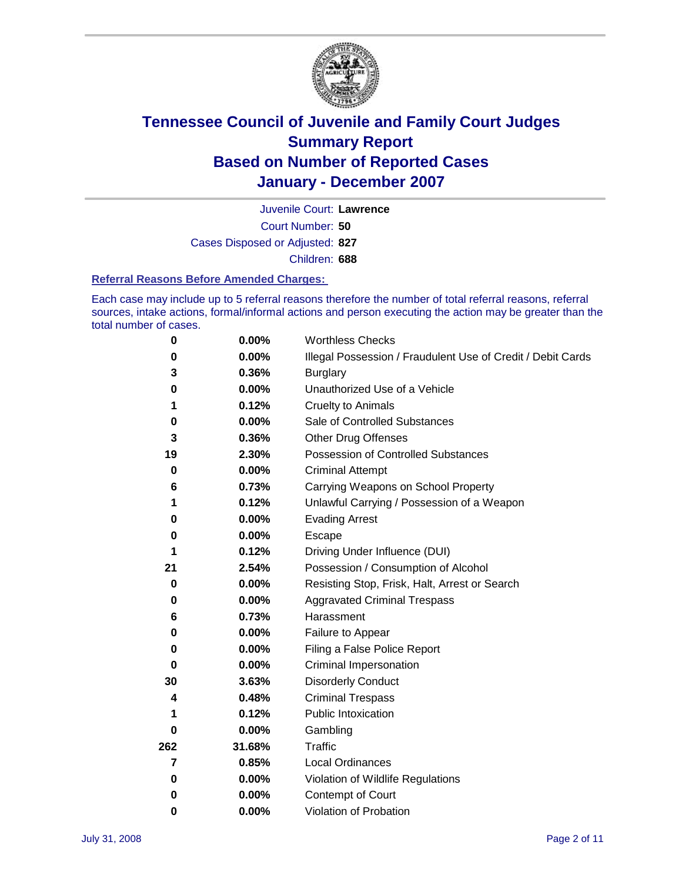

Court Number: **50** Juvenile Court: **Lawrence** Cases Disposed or Adjusted: **827** Children: **688**

#### **Referral Reasons Before Amended Charges:**

Each case may include up to 5 referral reasons therefore the number of total referral reasons, referral sources, intake actions, formal/informal actions and person executing the action may be greater than the total number of cases.

| 0           | 0.00%    | <b>Worthless Checks</b>                                     |  |  |
|-------------|----------|-------------------------------------------------------------|--|--|
| 0           | 0.00%    | Illegal Possession / Fraudulent Use of Credit / Debit Cards |  |  |
| 3           | 0.36%    | <b>Burglary</b>                                             |  |  |
| 0           | 0.00%    | Unauthorized Use of a Vehicle                               |  |  |
| 1           | 0.12%    | <b>Cruelty to Animals</b>                                   |  |  |
| 0           | 0.00%    | Sale of Controlled Substances                               |  |  |
| 3           | 0.36%    | <b>Other Drug Offenses</b>                                  |  |  |
| 19          | 2.30%    | Possession of Controlled Substances                         |  |  |
| $\mathbf 0$ | 0.00%    | <b>Criminal Attempt</b>                                     |  |  |
| 6           | 0.73%    | Carrying Weapons on School Property                         |  |  |
| 1           | 0.12%    | Unlawful Carrying / Possession of a Weapon                  |  |  |
| 0           | 0.00%    | <b>Evading Arrest</b>                                       |  |  |
| 0           | 0.00%    | Escape                                                      |  |  |
| 1           | 0.12%    | Driving Under Influence (DUI)                               |  |  |
| 21          | 2.54%    | Possession / Consumption of Alcohol                         |  |  |
| 0           | 0.00%    | Resisting Stop, Frisk, Halt, Arrest or Search               |  |  |
| 0           | 0.00%    | <b>Aggravated Criminal Trespass</b>                         |  |  |
| 6           | 0.73%    | Harassment                                                  |  |  |
| 0           | 0.00%    | Failure to Appear                                           |  |  |
| 0           | 0.00%    | Filing a False Police Report                                |  |  |
| 0           | 0.00%    | Criminal Impersonation                                      |  |  |
| 30          | 3.63%    | <b>Disorderly Conduct</b>                                   |  |  |
| 4           | 0.48%    | <b>Criminal Trespass</b>                                    |  |  |
| 1           | 0.12%    | <b>Public Intoxication</b>                                  |  |  |
| 0           | 0.00%    | Gambling                                                    |  |  |
| 262         | 31.68%   | Traffic                                                     |  |  |
| 7           | 0.85%    | <b>Local Ordinances</b>                                     |  |  |
| 0           | $0.00\%$ | Violation of Wildlife Regulations                           |  |  |
| 0           | 0.00%    | Contempt of Court                                           |  |  |
| 0           | 0.00%    | Violation of Probation                                      |  |  |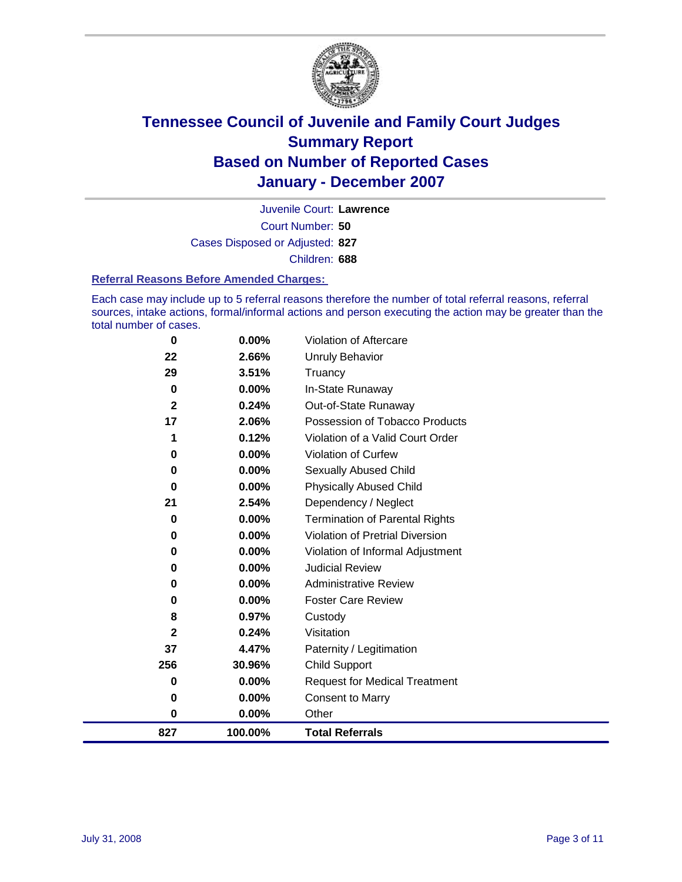

Court Number: **50** Juvenile Court: **Lawrence** Cases Disposed or Adjusted: **827** Children: **688**

#### **Referral Reasons Before Amended Charges:**

Each case may include up to 5 referral reasons therefore the number of total referral reasons, referral sources, intake actions, formal/informal actions and person executing the action may be greater than the total number of cases.

| 827          | 100.00%  | <b>Total Referrals</b>                 |
|--------------|----------|----------------------------------------|
| 0            | 0.00%    | Other                                  |
| 0            | 0.00%    | <b>Consent to Marry</b>                |
| 0            | 0.00%    | <b>Request for Medical Treatment</b>   |
| 256          | 30.96%   | Child Support                          |
| 37           | 4.47%    | Paternity / Legitimation               |
| $\mathbf{2}$ | 0.24%    | Visitation                             |
| 8            | 0.97%    | Custody                                |
| 0            | 0.00%    | <b>Foster Care Review</b>              |
| 0            | $0.00\%$ | <b>Administrative Review</b>           |
| 0            | 0.00%    | <b>Judicial Review</b>                 |
| 0            | 0.00%    | Violation of Informal Adjustment       |
| 0            | 0.00%    | <b>Violation of Pretrial Diversion</b> |
| 0            | 0.00%    | <b>Termination of Parental Rights</b>  |
| 21           | 2.54%    | Dependency / Neglect                   |
| $\bf{0}$     | 0.00%    | <b>Physically Abused Child</b>         |
| 0            | 0.00%    | <b>Sexually Abused Child</b>           |
| 0            | 0.00%    | Violation of Curfew                    |
| 1            | 0.12%    | Violation of a Valid Court Order       |
| 17           | 2.06%    | Possession of Tobacco Products         |
| $\mathbf{2}$ | 0.24%    | Out-of-State Runaway                   |
| 0            | 0.00%    | In-State Runaway                       |
| 29           | 3.51%    | Truancy                                |
| 22           | 2.66%    | <b>Unruly Behavior</b>                 |
| 0            | 0.00%    | Violation of Aftercare                 |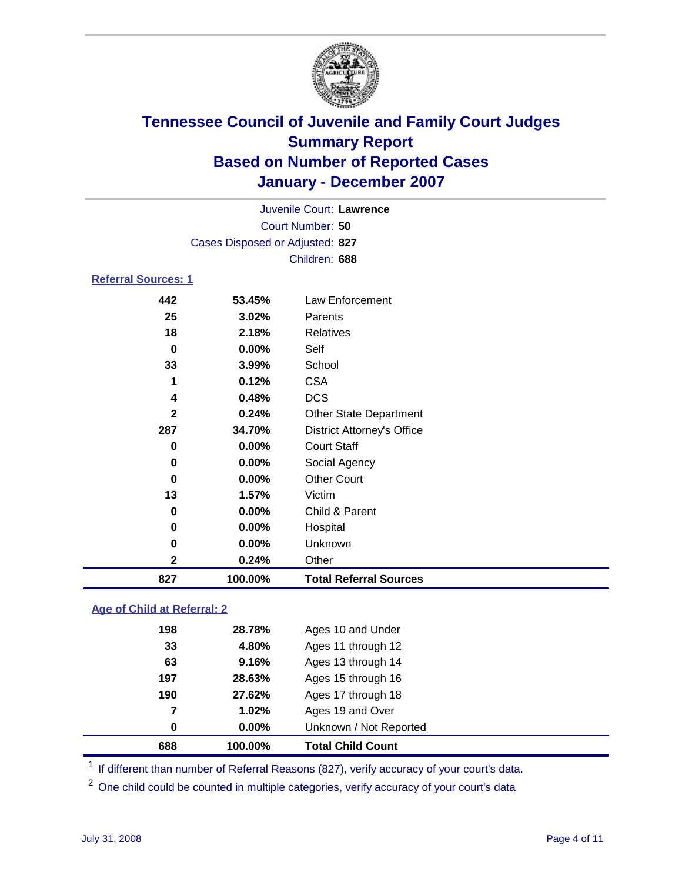

Court Number: **50** Juvenile Court: **Lawrence** Cases Disposed or Adjusted: **827** Children: **688**

### **Referral Sources: 1**

| 442          | 53.45%  | Law Enforcement                   |
|--------------|---------|-----------------------------------|
| 25           | 3.02%   | <b>Parents</b>                    |
| 18           | 2.18%   | <b>Relatives</b>                  |
| $\bf{0}$     | 0.00%   | Self                              |
| 33           | 3.99%   | School                            |
| 1            | 0.12%   | <b>CSA</b>                        |
| 4            | 0.48%   | <b>DCS</b>                        |
| $\mathbf{2}$ | 0.24%   | <b>Other State Department</b>     |
| 287          | 34.70%  | <b>District Attorney's Office</b> |
| 0            | 0.00%   | <b>Court Staff</b>                |
| 0            | 0.00%   | Social Agency                     |
| 0            | 0.00%   | <b>Other Court</b>                |
| 13           | 1.57%   | Victim                            |
| 0            | 0.00%   | Child & Parent                    |
| 0            | 0.00%   | Hospital                          |
| 0            | 0.00%   | Unknown                           |
| $\mathbf 2$  | 0.24%   | Other                             |
| 827          | 100.00% | <b>Total Referral Sources</b>     |

#### **Age of Child at Referral: 2**

| 688 | 100.00% | <b>Total Child Count</b> |  |
|-----|---------|--------------------------|--|
| 0   | 0.00%   | Unknown / Not Reported   |  |
| 7   | 1.02%   | Ages 19 and Over         |  |
| 190 | 27.62%  | Ages 17 through 18       |  |
| 197 | 28.63%  | Ages 15 through 16       |  |
| 63  | 9.16%   | Ages 13 through 14       |  |
| 33  | 4.80%   | Ages 11 through 12       |  |
| 198 | 28.78%  | Ages 10 and Under        |  |
|     |         |                          |  |

<sup>1</sup> If different than number of Referral Reasons (827), verify accuracy of your court's data.

One child could be counted in multiple categories, verify accuracy of your court's data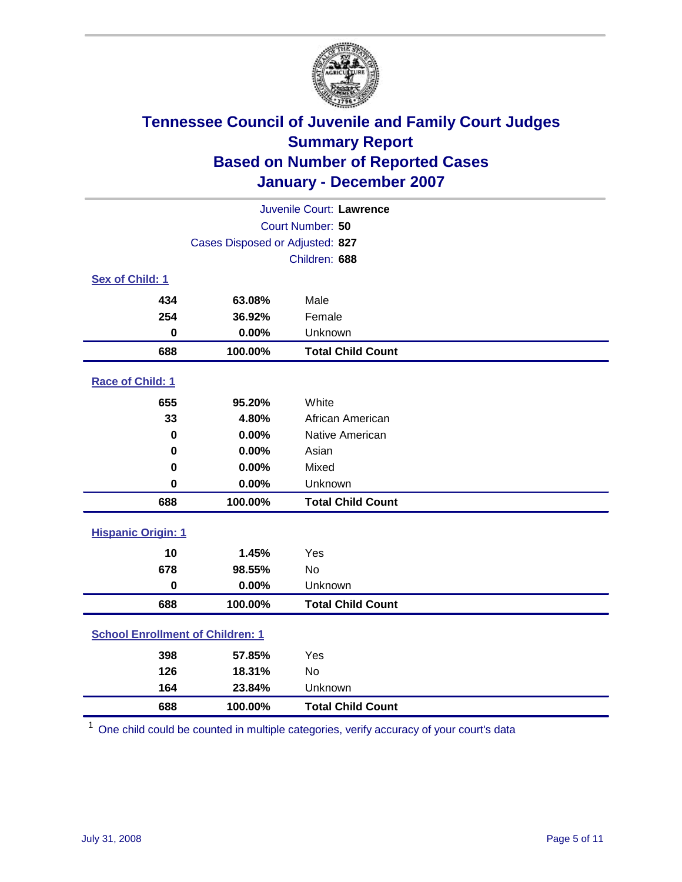

| Juvenile Court: Lawrence                |                                 |                          |  |  |  |
|-----------------------------------------|---------------------------------|--------------------------|--|--|--|
|                                         | Court Number: 50                |                          |  |  |  |
|                                         | Cases Disposed or Adjusted: 827 |                          |  |  |  |
|                                         |                                 | Children: 688            |  |  |  |
| Sex of Child: 1                         |                                 |                          |  |  |  |
| 434                                     | 63.08%                          | Male                     |  |  |  |
| 254                                     | 36.92%                          | Female                   |  |  |  |
| $\bf{0}$                                | 0.00%                           | Unknown                  |  |  |  |
| 688                                     | 100.00%                         | <b>Total Child Count</b> |  |  |  |
| Race of Child: 1                        |                                 |                          |  |  |  |
| 655                                     | 95.20%                          | White                    |  |  |  |
| 33                                      | 4.80%                           | African American         |  |  |  |
| 0                                       | 0.00%                           | Native American          |  |  |  |
| 0                                       | 0.00%                           | Asian                    |  |  |  |
| 0                                       | 0.00%                           | Mixed                    |  |  |  |
| $\bf{0}$                                | 0.00%                           | Unknown                  |  |  |  |
| 688                                     | 100.00%                         | <b>Total Child Count</b> |  |  |  |
| <b>Hispanic Origin: 1</b>               |                                 |                          |  |  |  |
| 10                                      | 1.45%                           | Yes                      |  |  |  |
| 678                                     | 98.55%                          | <b>No</b>                |  |  |  |
| $\bf{0}$                                | 0.00%                           | Unknown                  |  |  |  |
| 688                                     | 100.00%                         | <b>Total Child Count</b> |  |  |  |
| <b>School Enrollment of Children: 1</b> |                                 |                          |  |  |  |
| 398                                     | 57.85%                          | Yes                      |  |  |  |
| 126                                     | 18.31%                          | <b>No</b>                |  |  |  |
| 164                                     | 23.84%                          | Unknown                  |  |  |  |
| 688                                     | 100.00%                         | <b>Total Child Count</b> |  |  |  |

One child could be counted in multiple categories, verify accuracy of your court's data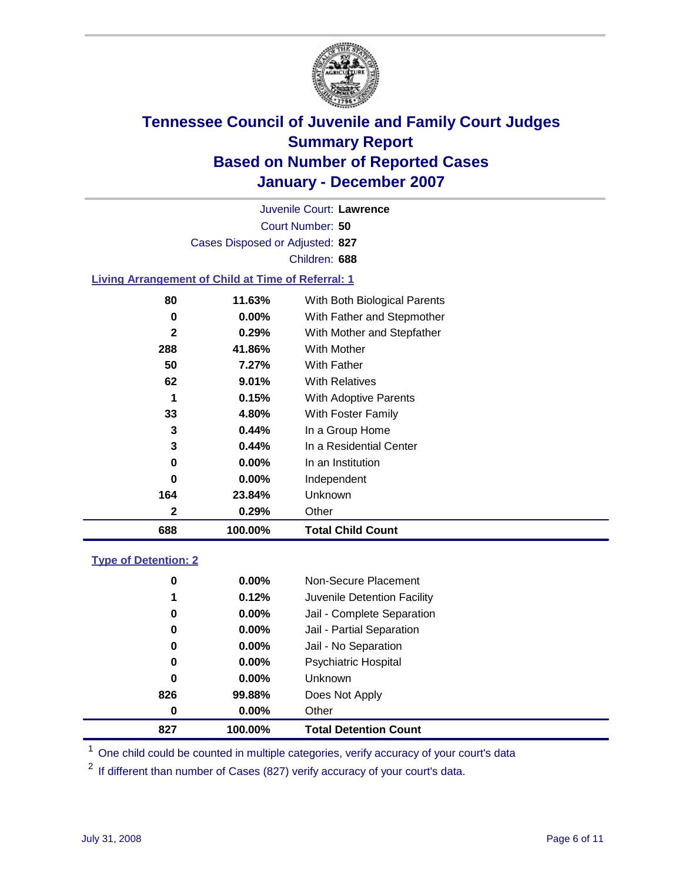

Court Number: **50** Juvenile Court: **Lawrence** Cases Disposed or Adjusted: **827** Children: **688**

#### **Living Arrangement of Child at Time of Referral: 1**

| 688          | 100.00%  | <b>Total Child Count</b>     |
|--------------|----------|------------------------------|
| 2            | 0.29%    | Other                        |
| 164          | 23.84%   | Unknown                      |
| 0            | $0.00\%$ | Independent                  |
| 0            | $0.00\%$ | In an Institution            |
| 3            | 0.44%    | In a Residential Center      |
| 3            | 0.44%    | In a Group Home              |
| 33           | 4.80%    | With Foster Family           |
| 1            | 0.15%    | With Adoptive Parents        |
| 62           | $9.01\%$ | <b>With Relatives</b>        |
| 50           | 7.27%    | With Father                  |
| 288          | 41.86%   | With Mother                  |
| $\mathbf{2}$ | 0.29%    | With Mother and Stepfather   |
| 0            | $0.00\%$ | With Father and Stepmother   |
| 80           | 11.63%   | With Both Biological Parents |
|              |          |                              |

#### **Type of Detention: 2**

| 827 | 100.00%  | <b>Total Detention Count</b> |  |
|-----|----------|------------------------------|--|
| 0   | 0.00%    | Other                        |  |
| 826 | 99.88%   | Does Not Apply               |  |
| 0   | $0.00\%$ | <b>Unknown</b>               |  |
| 0   | 0.00%    | <b>Psychiatric Hospital</b>  |  |
| 0   | $0.00\%$ | Jail - No Separation         |  |
| 0   | $0.00\%$ | Jail - Partial Separation    |  |
| 0   | 0.00%    | Jail - Complete Separation   |  |
| 1   | 0.12%    | Juvenile Detention Facility  |  |
| 0   | $0.00\%$ | Non-Secure Placement         |  |
|     |          |                              |  |

<sup>1</sup> One child could be counted in multiple categories, verify accuracy of your court's data

<sup>2</sup> If different than number of Cases (827) verify accuracy of your court's data.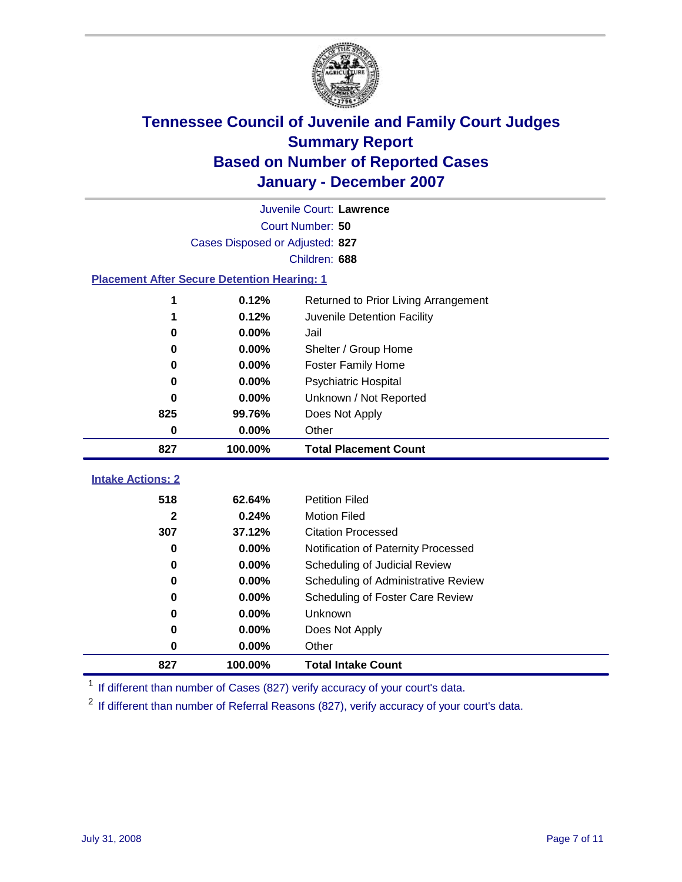

|                                                    | Juvenile Court: Lawrence        |                                      |  |  |  |
|----------------------------------------------------|---------------------------------|--------------------------------------|--|--|--|
|                                                    | Court Number: 50                |                                      |  |  |  |
|                                                    | Cases Disposed or Adjusted: 827 |                                      |  |  |  |
|                                                    | Children: 688                   |                                      |  |  |  |
| <b>Placement After Secure Detention Hearing: 1</b> |                                 |                                      |  |  |  |
|                                                    | 0.12%                           | Returned to Prior Living Arrangement |  |  |  |
| 1                                                  | 0.12%                           | Juvenile Detention Facility          |  |  |  |
| 0                                                  | 0.00%                           | Jail                                 |  |  |  |
| 0                                                  | 0.00%                           | Shelter / Group Home                 |  |  |  |
| 0                                                  | 0.00%                           | <b>Foster Family Home</b>            |  |  |  |
| 0                                                  | 0.00%                           | <b>Psychiatric Hospital</b>          |  |  |  |
| 0                                                  | 0.00%                           | Unknown / Not Reported               |  |  |  |
| 825                                                | 99.76%                          | Does Not Apply                       |  |  |  |
| 0                                                  | 0.00%                           | Other                                |  |  |  |
| 827                                                | 100.00%                         | <b>Total Placement Count</b>         |  |  |  |
|                                                    |                                 |                                      |  |  |  |
| <b>Intake Actions: 2</b>                           |                                 |                                      |  |  |  |
| 518                                                | 62.64%                          | <b>Petition Filed</b>                |  |  |  |
| 2                                                  | 0.24%                           | <b>Motion Filed</b>                  |  |  |  |
| 307                                                | 37.12%                          | <b>Citation Processed</b>            |  |  |  |
| 0                                                  | 0.00%                           | Notification of Paternity Processed  |  |  |  |
| 0                                                  | 0.00%                           | Scheduling of Judicial Review        |  |  |  |
| 0                                                  | 0.00%                           | Scheduling of Administrative Review  |  |  |  |
| 0                                                  | 0.00%                           | Scheduling of Foster Care Review     |  |  |  |
| 0                                                  | 0.00%                           | Unknown                              |  |  |  |
| 0                                                  | 0.00%                           | Does Not Apply                       |  |  |  |
| 0                                                  | 0.00%                           | Other                                |  |  |  |
| 827                                                | 100.00%                         | <b>Total Intake Count</b>            |  |  |  |

<sup>1</sup> If different than number of Cases (827) verify accuracy of your court's data.

<sup>2</sup> If different than number of Referral Reasons (827), verify accuracy of your court's data.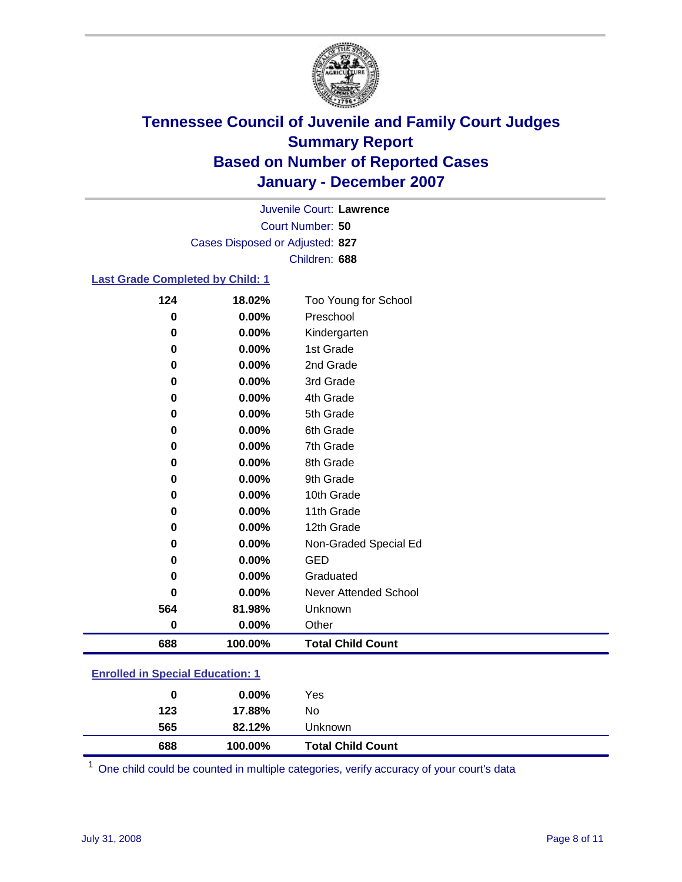

Court Number: **50** Juvenile Court: **Lawrence** Cases Disposed or Adjusted: **827** Children: **688**

#### **Last Grade Completed by Child: 1**

| 124      | 18.02%  | Too Young for School     |
|----------|---------|--------------------------|
| $\bf{0}$ | 0.00%   | Preschool                |
| 0        | 0.00%   | Kindergarten             |
| 0        | 0.00%   | 1st Grade                |
| 0        | 0.00%   | 2nd Grade                |
| 0        | 0.00%   | 3rd Grade                |
| 0        | 0.00%   | 4th Grade                |
| 0        | 0.00%   | 5th Grade                |
| 0        | 0.00%   | 6th Grade                |
| 0        | 0.00%   | 7th Grade                |
| 0        | 0.00%   | 8th Grade                |
| 0        | 0.00%   | 9th Grade                |
| 0        | 0.00%   | 10th Grade               |
| 0        | 0.00%   | 11th Grade               |
| 0        | 0.00%   | 12th Grade               |
| 0        | 0.00%   | Non-Graded Special Ed    |
| 0        | 0.00%   | <b>GED</b>               |
| 0        | 0.00%   | Graduated                |
| 0        | 0.00%   | Never Attended School    |
| 564      | 81.98%  | Unknown                  |
| 0        | 0.00%   | Other                    |
| 688      | 100.00% | <b>Total Child Count</b> |

### **Enrolled in Special Education: 1**

| 0   | $0.00\%$ | Yes                      |  |
|-----|----------|--------------------------|--|
| 123 | 17.88%   | No                       |  |
| 565 | 82.12%   | Unknown                  |  |
| 688 | 100.00%  | <b>Total Child Count</b> |  |

One child could be counted in multiple categories, verify accuracy of your court's data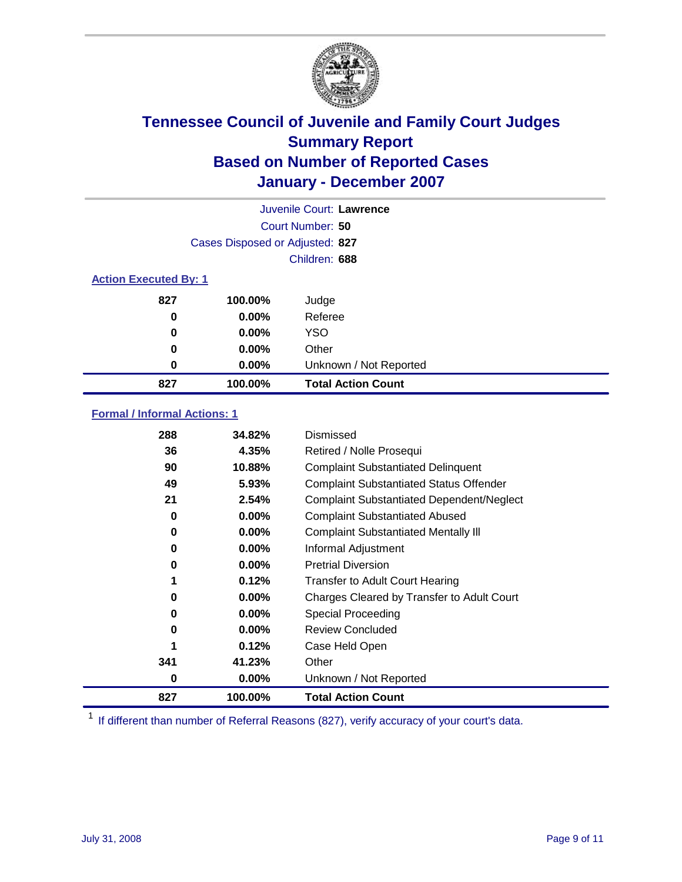

| Juvenile Court: Lawrence     |                                 |                           |  |  |
|------------------------------|---------------------------------|---------------------------|--|--|
|                              | Court Number: 50                |                           |  |  |
|                              | Cases Disposed or Adjusted: 827 |                           |  |  |
|                              |                                 | Children: 688             |  |  |
| <b>Action Executed By: 1</b> |                                 |                           |  |  |
| 827                          | 100.00%                         | Judge                     |  |  |
| 0                            | $0.00\%$                        | Referee                   |  |  |
| 0                            | $0.00\%$                        | <b>YSO</b>                |  |  |
| 0                            | $0.00\%$                        | Other                     |  |  |
| 0                            | 0.00%                           | Unknown / Not Reported    |  |  |
| 827                          | 100.00%                         | <b>Total Action Count</b> |  |  |

### **Formal / Informal Actions: 1**

| 288 | 34.82%   | Dismissed                                        |
|-----|----------|--------------------------------------------------|
| 36  | 4.35%    | Retired / Nolle Prosequi                         |
| 90  | 10.88%   | <b>Complaint Substantiated Delinquent</b>        |
| 49  | 5.93%    | <b>Complaint Substantiated Status Offender</b>   |
| 21  | 2.54%    | <b>Complaint Substantiated Dependent/Neglect</b> |
| 0   | $0.00\%$ | <b>Complaint Substantiated Abused</b>            |
| 0   | $0.00\%$ | <b>Complaint Substantiated Mentally III</b>      |
| 0   | $0.00\%$ | Informal Adjustment                              |
| 0   | $0.00\%$ | <b>Pretrial Diversion</b>                        |
| 1   | 0.12%    | <b>Transfer to Adult Court Hearing</b>           |
| 0   | $0.00\%$ | Charges Cleared by Transfer to Adult Court       |
| 0   | $0.00\%$ | Special Proceeding                               |
| 0   | $0.00\%$ | <b>Review Concluded</b>                          |
| 1   | 0.12%    | Case Held Open                                   |
| 341 | 41.23%   | Other                                            |
| 0   | 0.00%    | Unknown / Not Reported                           |
| 827 | 100.00%  | <b>Total Action Count</b>                        |

<sup>1</sup> If different than number of Referral Reasons (827), verify accuracy of your court's data.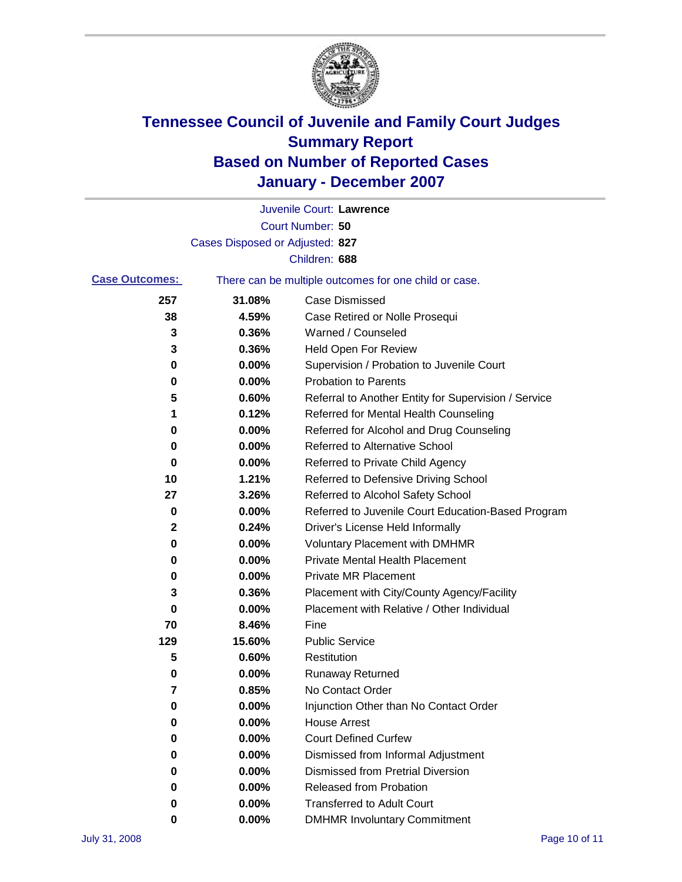

|                       |                                 | Juvenile Court: Lawrence                              |
|-----------------------|---------------------------------|-------------------------------------------------------|
|                       |                                 | Court Number: 50                                      |
|                       | Cases Disposed or Adjusted: 827 |                                                       |
|                       |                                 | Children: 688                                         |
| <b>Case Outcomes:</b> |                                 | There can be multiple outcomes for one child or case. |
| 257                   | 31.08%                          | <b>Case Dismissed</b>                                 |
| 38                    | 4.59%                           | Case Retired or Nolle Prosequi                        |
| 3                     | 0.36%                           | Warned / Counseled                                    |
| 3                     | 0.36%                           | Held Open For Review                                  |
| 0                     | 0.00%                           | Supervision / Probation to Juvenile Court             |
| 0                     | 0.00%                           | <b>Probation to Parents</b>                           |
| 5                     | 0.60%                           | Referral to Another Entity for Supervision / Service  |
| 1                     | 0.12%                           | Referred for Mental Health Counseling                 |
| 0                     | 0.00%                           | Referred for Alcohol and Drug Counseling              |
| 0                     | 0.00%                           | <b>Referred to Alternative School</b>                 |
| 0                     | 0.00%                           | Referred to Private Child Agency                      |
| 10                    | 1.21%                           | Referred to Defensive Driving School                  |
| 27                    | 3.26%                           | Referred to Alcohol Safety School                     |
| 0                     | 0.00%                           | Referred to Juvenile Court Education-Based Program    |
| 2                     | 0.24%                           | Driver's License Held Informally                      |
| 0                     | 0.00%                           | <b>Voluntary Placement with DMHMR</b>                 |
| 0                     | 0.00%                           | <b>Private Mental Health Placement</b>                |
| 0                     | 0.00%                           | <b>Private MR Placement</b>                           |
| 3                     | 0.36%                           | Placement with City/County Agency/Facility            |
| 0                     | 0.00%                           | Placement with Relative / Other Individual            |
| 70                    | 8.46%                           | Fine                                                  |
| 129                   | 15.60%                          | <b>Public Service</b>                                 |
| 5                     | 0.60%                           | Restitution                                           |
| 0                     | 0.00%                           | <b>Runaway Returned</b>                               |
| 7                     | 0.85%                           | No Contact Order                                      |
| 0                     | 0.00%                           | Injunction Other than No Contact Order                |
| 0                     | 0.00%                           | <b>House Arrest</b>                                   |
| 0                     | 0.00%                           | <b>Court Defined Curfew</b>                           |
| 0                     | 0.00%                           | Dismissed from Informal Adjustment                    |
| 0                     | 0.00%                           | <b>Dismissed from Pretrial Diversion</b>              |
| 0                     | 0.00%                           | Released from Probation                               |
| 0                     | 0.00%                           | <b>Transferred to Adult Court</b>                     |
| 0                     | 0.00%                           | <b>DMHMR Involuntary Commitment</b>                   |